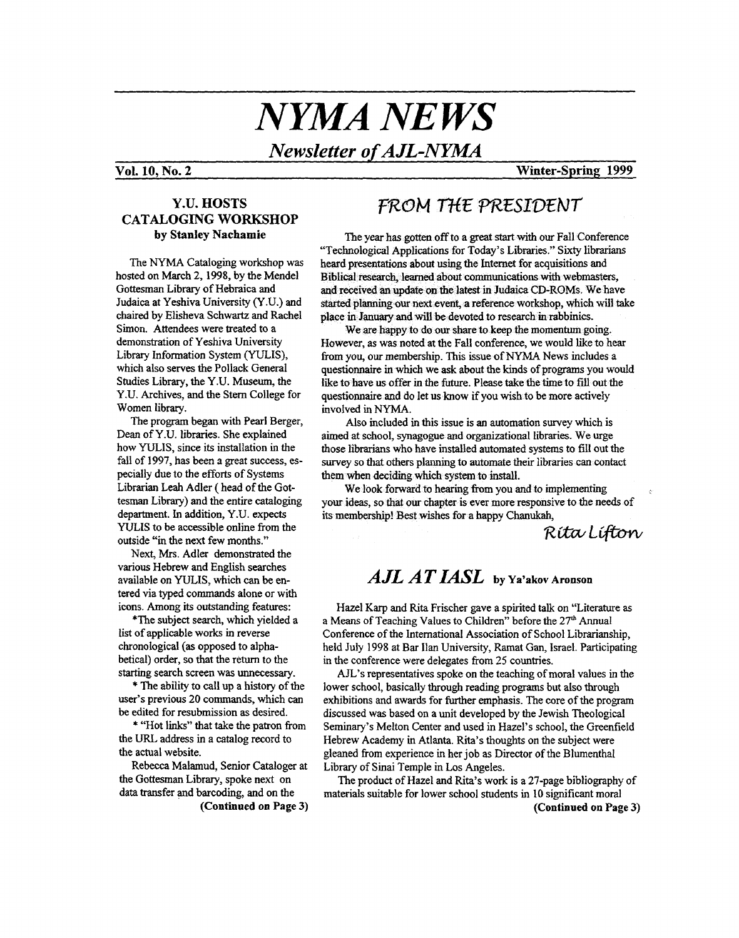# *NYMA NEWS*

*Newsletter of AJL-NYMA* 

#### **Vol. 10, No. 2 Winter-Spring 1999**

#### **Y.U. HOSTS CATALOGING WORKSHOP by Stanley Nachamie**

The NYMA Cataloging workshop was hosted on March 2,1998, by the Mendel Gottesman Library of Hebraica and Judaica at Yeshiva University (Y.U.) and chaired by Elisheva Schwartz and Rachel Simon. Attendees were treated to a demonstration of Yeshiva University Library Information System (YULIS), which also serves the Pollack General Studies Library, the Y.U. Museum, the Y.U. Archives, and the Stem College for Women library.

The program began with Pearl Berger, Dean of Y.U. libraries. She explained how WLIS, since its installation in the fall of 1997, has been *a* great success, especially due to the efforts of **Systems**  Librarian **Leah** Adler (head **of** the Gottesman Library) and the entire cataloging department. In addition, Y.U. expects WLIS to be accessible online from the outside "in **the** next few months."

Next, **Mrs.** Adler demonstrated the various Hebrew and English searches available on **YULIS,** which can be entered via typed commands alone or with icons. Among its outstanding features:

\*The subject search, which yielded a list of applicable works in reverse chronological **(as** opposed to alphabetical) order, so that the return to the starting search screen was unnecessary.

\* The ability to call up a history of the user's previous 20 commands, which can be edited for resubmission **as** desired.

\* "Hot links" that take the patron from the **URL** address in a catalog record to the actual website.

the Gottesrnan Library, spoke next on data transfer and barcoding, and on the Rebecca Malamud, Senior Cataloger at

**(Continued on Page 3) (Continued on Page 3)** 

## FROM THE PRESIDENT

The year **has** gotten *off* **to** a great *start* with our Fall Conference "Technological Applications for Today's Libraries." *Sixty* librarians Biblical research, learned about communications with webmasters, and received an update on the latest in Judaica CD-ROMs. We have started planning our next event, a reference workshop, which will take place in January and will be devoted to research in rabbinics.

We are happy to do our share to keep the momentum going. However, **as** was noted at the Fall conference, we would like to hear from you, our membership. This issue of NYMA News includes a questionnaire in which we ask about the kinds of programs you would like **to** have us offer in the future. Please take the time to fill out the questionnaire and do let us know if you wish to be more actively involved in NYMA.

Also included in this issue is an automation survey which is aimed *at* school, synagogue and organizational libraries. We urge those librarians **who** have installed automated systems **to** fill out the survey so that others planning to automate their libraries can contact them when deciding which system to install.

We look forward to hearing from you and to implementing your ideas, so that our chapter **is** ever more responsive to the needs of its membership! Best wishes **for** a happy **Chanukah,** 

*REiL@i* 

## $A J L A T I A S L$  by Ya'akov Aronson

Hazel Karp and Rita Frischer gave a spirited talk on "Literature **as**  a Means of Teaching Values to Children" before the **27\*** Annual Conference of the International Association of School Librarianship, held July 1998 at Bar Ilan University, Ramat Gan, Israel. Participating in the conference were delegates **from** 25 countries.

AJL's representatives spoke on the teaching of moral values in the lower school, basically **through** reading programs but also **through**  exhibitions and awards for further emphasis. The core of the program discussed **was** based on a unit developed by the Jewish Theological Seminary's Melton Center and used in Hazel's school, **the** Greenfield Hebrew Academy in Atlanta. Rita's **thoughts** on the subject were gleaned from experience in her job **as** Director of the Blumenthal Library of Sinai Temple in Los Angeles.

materials suitable for lower school students in 10 significant moral The product of Hazel and **Rita's** work **is** a 27-page bibliography of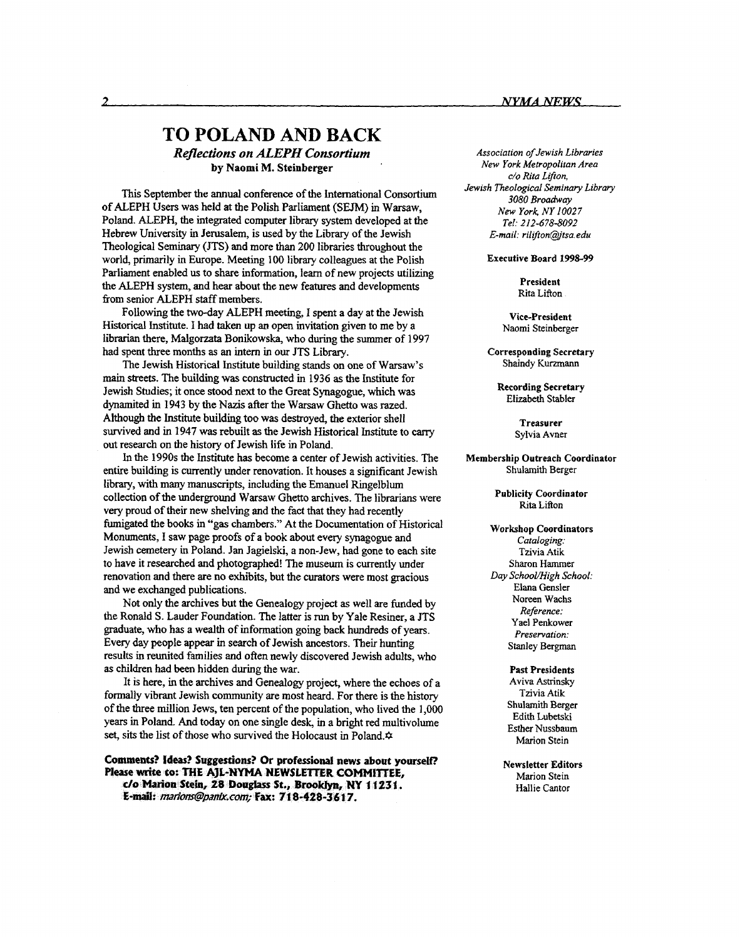## **TO POLAND AND BACK**  *Reflections on ALEPH Consortium*

**by Naomi M. Steinberger** 

This September the **annual** conference of the International Consortium of ALEPH Users was held at the Polish Parliament (SEJM) in Warsaw, Poland. ALEPH, the integrated computer library system developed at the Hebrew University in Jerusalem, is used by the Library of the Jewish Theological Seminary (JTS) and more than 200 libraries throughout the world, primarily in Europe. Meeting **100** library colleagues at the Polish Parliament enabled us to share information, learn **of** new projects utilizing the ALEPH system, and hear about the new features and developments from senior ALEPH **staff** members.

Historical Institute. **I** had taken up **an** open invitation given to me by a librarian there, Malgorzata Bonikowska, who during the summer **of 1997**  had spent three months **as** an intern in our JTS Library. Following the two-day ALEPH meeting, I spent a day at the Jewish

main streets. The building **was** constructed in 1936 **as** the Institute for Jewish Studies; it once stood next to the Great Synagogue, which was dynamited in **1943** by the **Nazis** after the Warsaw Ghetto was razed. Although the Institute building too **was** destroyed, the exterior shell survived and in **1947** was rebuilt **as** the Jewish Historical Institute to cany out research on the history of Jewish life in Poland. The Jewish Historical Institute building stands on one of Warsaw's

In the **1990s** the Institute has become a center of Jewish activities. The entire building is currently under renovation. It houses a significant Jewish library, with many manuscripts, including the Emanuel Ringelblum collection of the underground Warsaw Ghetto archives. The librarians were very proud of their new shelving and the fact that they had recently **fumigated** the books in "gas chambers." **At** the Documentation of Historical Monuments, **I** saw page proofs of a book about every synagogue and Jewish cemetery in Poland. Jan Jagielski, a non-Jew, had gone to each site to have it researched and photographed! The museum is currently under renovation and there are no exhibits, but the curators were most gracious and we exchanged publications.

Not only the archives but the Genealogy project **as** well are funded by the Ronald *S.* Lauder Foundation. The latter is run by Yale Resiner, a JTS graduate, who has a wealth **of** information going back hundreds **of** years. Every day people appear in search **of** Jewish ancestors. Their hunting results in reunited families and often newly discovered Jewish adults, who **as** children had been hidden during the war.

It is here, in the archives and Genealogy project, where the echoes of a formally vibrant Jewish community are most heard. For there is the history of the three million Jews, ten percent of the population, who lived the 1,000 years in Poland. And today on one single desk, in a bright **red** multivolume set, sits the list of those who survived the Holocaust in Poland. $\phi$ 

**Comments? Ideas? Suggestions? Or professional news about yowseit?**  c/o Marion Stein, 28 Douglass St., Brooklyn, NY 11231. E-mail: marions@panix.com; Fax: 718-428-3617.

*Association of Jewish Libraries New York Metropolitan Area c/o Rita Lifton, Jewish Theological Seminary Library 3080 Broadway New York NY 10027 Tel: 212-678-8092 E-mail: rilifton@tsa.edu* 

**Executive Board 1998-99** 

**President**  Rita Lifton

**Vice-president**  Naomi Steinberger

**Corresponding Secretary**  Shaindy Kurzmann

**Recording Secretary**  Elizabeth Stabler

> **Treasurer**  Sylvia Avner

**Membership Outreach Coordinator**  Shulamith Berger

> **Publicity Coordinator**  Rita Lifton

**Workshop Coordinators**  *Cataloging:*  Tzivia Atik Sharon Hammer *Day SchooVHigh School:*  Elana Gensler Noreen Wachs *Reference:*  Yael Penkower *Presentation:*  Stanley Bergman

> **Past Presidents**  Aviva Astrinsky Tzivia Atik Shulamith Berger Edith Lubetski Esther Nussbaum Marion Stein

**Newsletter Editors**  Marion Stein Hallie Cantor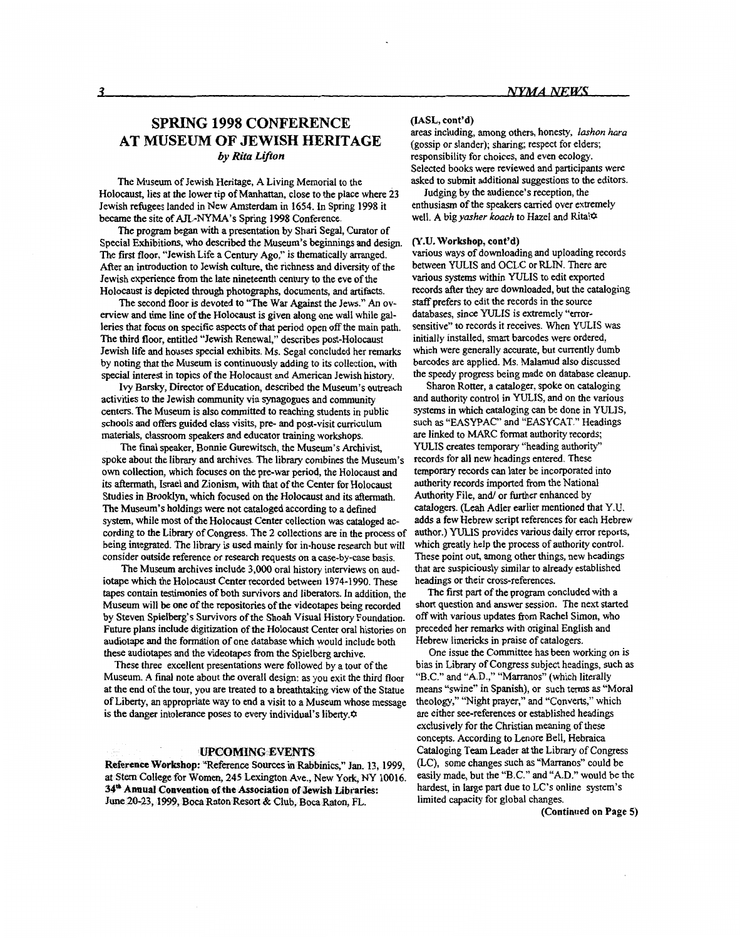### **SPRING 1998 CONFERENCE AT MUSEUM OF JEWISH HERITAGE**  *by Rita Lifton*

The Museum of Jewish Heritage, A Living Memorial to the Holocaust, lies at the lower tip of Manhattan, close to the place where **23**  Jewish refugees landed in New Amsterdam *in* **1654.** In Spring 1998 it became the site of AJL-NYMA's Spring 1998 Conference.

The program began with a presentation by Shari Segal, Curator of Special Exhibitions, who described the Museum's beginnings and design. The first floor, "Jewish Life a Century Ago," is thematically arranged. After an introduction to Jewish culture, the richness and diversity of the Jewish experience from the late nineteenth century to the eve of the Holocaust is depicted through photographs, documents, and artifacts.

The second floor is devoted to "The War Against the Jews." *An* overview and time line of the Holocaust is given along one wall while *gal*leries that focus on specific aspects of that period open off the main path. The third floor, entitled "Jewish Renewal," describes post-Holocaust Jewish life and houses special exhibits. Ms. Segal concluded her remarks by noting *that* the Museum is continuously adding **to** its collection, with special interest in topics **of** the Holocaust and American Jewish history.

activities to the Jewish community via synagogues and community centers. The Museum is also committed to reaching students in public schools and **offers** guided class visits, pre- and post-visit curriculum materials, classroom speakers and educator training workshops. Ivy Barsky, Director of Education, described the Museum's outreach

The final speaker, Bonnie Gurewitsch, the Museum's Archivist, spoke about the library and archives. The library combines the Museum's own collection, which focuses on the pre-war period, the Holocaust and **its** aftermath, **Israel** and Zionism, with that of the Center for Holocaust Studies **in** Brooklyn, which focused on the Holocaust and its aftermath. The Museum's holdings were not cataloged according to a defined system, while most of the Holocaust Center collection **was** cataloged according to the Library of Congress. The **2** collections **are** in the process of being integrated. The library is used mainly for in-house research but will consider outside reference or research requests on a case-by-case basis.

The Museum archives include **3,000** oral history interviews on audiotape which the Holocaust Center recorded between 1974-1990. These tapes contain testimonies of both survivors and liberators. In addition, the Museum will be one of the repositories of the videotapes being recorded by Steven Spielberg's Survivors of the Shoah Visual History Foundation. Future plans include digitization of the Holocaust Center oral histories on audiotape and the formation of one database which would include both these audiotapes and the videotapes from the Spielberg archive.

These three excellent presentations were followed by a tour of the Museum. **A** final note about the overall design: **as** you exit the third floor at the end of the tour, you are treated to a breathtaking view of the Statue of Liberty, an appropriate way to end a visit to a Museum whose message is the danger intolerance poses to every individual's liberty. $\phi$ 

#### **UPCOMING EVENTS**

Reference Workshop: "Reference Sources in Rabbinics," Jan. 13, 1999, at Stern College for Women, 245 Lexington Ave., New York, NY 10016.<br>34<sup>th</sup> Annual Convention of the Association of Jewish Libraries: June 20-23, 1999, Boca Raton Resort & Club, Boca Raton, FL.

#### **(IASL, cont'd)**

areas including, among others, honesty, *Iushon hara*  (gossip or slander); sharing; respect for elders; responsibility for choices, and even ecology. Selected books were reviewed and participants were asked to submit additional suggestions to the editors.

Judging by the audience's reception, the enthusiasm of the speakers canied over extremely well. A big yasher koach to Hazel and Rita! $\phi$ 

#### **(Y.U. Workshop, coot'd)**

various ways of downloading and uploading records between WLIS and OCLC or RLIN. There *are*  various systems within YULIS to edit exported records after they are downloaded, but the cataloging *staff* prefers to edit the records in the source databases, since YULIS is extremely "errorsensitive" to records it receives. When YULIS was initially installed, smart barcodes were ordered, which were generally accurate, but currently dumb barcodes are applied. Ms. Malamud also discussed the speedy progress being made on database cleanup.

Sharon Rotter, a cataloger, spoke on cataloging and authority control in **YULIS,** and on the various systems in which cataloging can be done in **YULIS,**  such **as** "EASYPAC' and "EASYCAT." Headings are linked to MARC format authority records; YULIS creates temporary "heading authority" records for all new headings entered. These temporary records can later be incorporated into authority records imported from the National Authority File, *and/* or further enhanced by catalogers. **(Leah** Adler earlier mentioned that Y.U. adds a few Hebrew script references for each Hebrew author.) YULIS provides various daily error reports, which greatly help the process of authority control. These point out, among other things, new headings that are suspiciously similar to already established headings or their cross-references.

The **first** part of the program concluded with a short question and answer session. The next started off with various updates **from** Rachel Simon, who preceded her remarks with original English and Hebrew limericks in praise of catalogers,

bias in Library of Congress subject headings, such **as**  "B.C." and "A.D.," "Marranos" (which literally means "swine" in Spanish), or such terms **as** ''Moral theology," "Night prayer," and "Converts," which are either see-references or established headings exclusively for the Christian meaning of these concepts. According to Lenore Bell, Hebraica Cataloging **Team** Leader *at* the Library of Congress (LC), some changes such **as** "Marranos" could be easily made, but the "B.C." and **"A.D."** would be the hardest, in large part due to LC's online system's limited capacity for global changes. One issue the Committee has been working on is

**(Continued on Page 5)**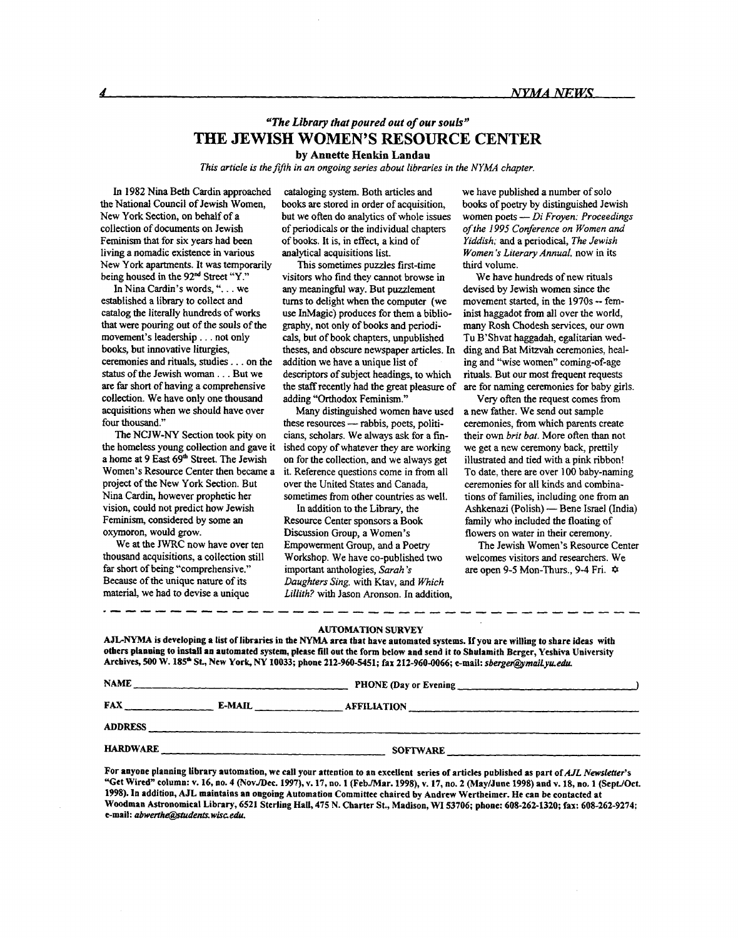#### *"The Library that poured ou:* **of** *our souls"*  **THE JEWISH WOMEN'S RESOURCE CENTER by Annette Henkin Landau**

*This article is the fifth in an ongoing series about libraries in the NYMA chapter.* 

In 1982 Nina Beth Cardin approached the National Council of Jewish Women, New **York** Section, on behalf of a collection of documents on Jewish Feminism that for six years had been living a nomadic existence in various New York apartments. It was temporarily being housed in the 92<sup>nd</sup> Street "Y."

In Nina Cardin's words, ". . . we established a library to collect and catalog the literally hundreds of works that were pouring out of the souls of the movement's leadership . . . not only books, but innovative liturgies, ceremonies and **rituals,** studies . . . on the *status* of the Jewish woman . . . But we are **far short** of having a comprehensive collection. We have only one thousand acquisitions when we should have over four thousand."

The NCJW-NY Section took pity on the homeless young collection and gave it a home at 9 East 69<sup>th</sup> Street. The Jewish Women's Resource Center then became a project of the New **York** Section. But Nina Cardin, however prophetic her vision, could not predict how Jewish Feminism, considered by some **an**  oxymoron, would grow.

We at the JWRC now have over ten thousand acquisitions, a collection still far short of being "comprehensive." Because of the unique nature of its material, we had to devise **a** unique

cataloging system. Both articles and **books** are stored in order of acquisition, but we often do analytics of whole issues of periodicals **or** the individual chapters of books. **It** is, in effect, a kind of analytical acquisitions list.

This sometimes puzzles first-time visitors who find they cannot browse in any meaningful way. But puzzlement **turns** to delight when the computer (we use InMagic) produces for them a bibliography, not only of books and periodi**cals,** but of book chapters, unpublished theses, and obscure newspaper articles. In addition we have a unique list of descriptors of subject headings, to which the staff recently had the great pleasure of adding "Orthodox Feminism."

**Many** distinguished women have used these resources - rabbis, poets, politicians, scholars. We always **ask** for a finished copy of whatever they are working on for the collection, and we always get it. Reference questions come in from all over the United States and Canada, sometimes from other countries **as** well.

In addition to the Library, the Resource Center sponsors a Book Discussion Group, a Women's Empowerment Group, and a Poetry Workshop. We have co-published two important anthologies, *Sarah* **'s**  *Daughters Sing,* with Ktav, and *Which Lillith?* with Jason Aronson. In addition, we have published a number of **solo**  books of poetry by distinguished Jewish women poets - *Di Froyen: Proceedings of the I995 Conference on Women and Yiddish;* and a periodical, *The Jewish Women* 's *Literary AnnuaI,* now in its third volume.

We have hundreds of new rituals devised by Jewish women since the movement started, in the 1970s -- feminist haggadot from all over the world, many Rosh Chodesh services, our own Tu B'Shvat haggadah, egalitarian wedding and Bat Mitzvah ceremonies, healing and "wise women" coming-of-age rituals. But **our** most frequent requests are **for** naming ceremonies for baby girls.

Very often the request comes ftom a new father. We send out sample ceremonies, from which parents create their own *brit but.* More often than not we get a new ceremony back, prettily illustrated and tied with a pink ribbon! To date, there are over 100 baby-naming ceremonies for all kinds and combinations of families, including one ftom **an**  Ashkenazi (Polish) - Bene Israel (India) family who included the floating of flowers on water in their ceremony.

welcomes visitors and researchers. We are open *9-5* Mon-Thurs., **9-4** Fri. *4*  The Jewish Women's Resource Center

#### **AUTOMATION SURVEY**

**AJLNYMA is developing a list of libraries in the** NYhlA **area that have automated systems. If you are willing to share ideas with others planning to install an automated system, please fill out the form below and send it to Shulamith Berger, Yeshiva University Archives,** *500* **W. 185\* St., New Yorlq NY 10033; phone 212-960-5451; fax 212-960-0066; e-mail:** *sberge@midLy~edu.* 

| <b>NAME</b>     |        | PHONE (Day or Evening |  |
|-----------------|--------|-----------------------|--|
| <b>FAX</b>      | E-MAIL | <b>AFFILIATION</b>    |  |
| <b>ADDRESS</b>  |        |                       |  |
| <b>HARDWARE</b> |        | <b>SOFTWARE</b>       |  |

For anyone planning library automation, we call your attention to an excellent series of articles published as part of *AJL Newsletter's* "Get Wired" column: v. 16, no. 4 (Nov./Dec. 1997), v. 17, no. 1 (Feb./Mar. 1998), v. 17, no. 2 (May/June 1998) and v. 18, no. 1 (Sept./Oct. **1998). In addition, AJL maintains an ongoing Automation Committee chaired by Andrew Wertheimer. He can be contacted at Woodman Astronomical Library, 6521 Sterling Hall, 475 N. Charter St., Madison, WI 53706; phone: 608-262-1320; fax: 608-262-9274; e-mail:** *abwerth6@tudents.wisceciU.*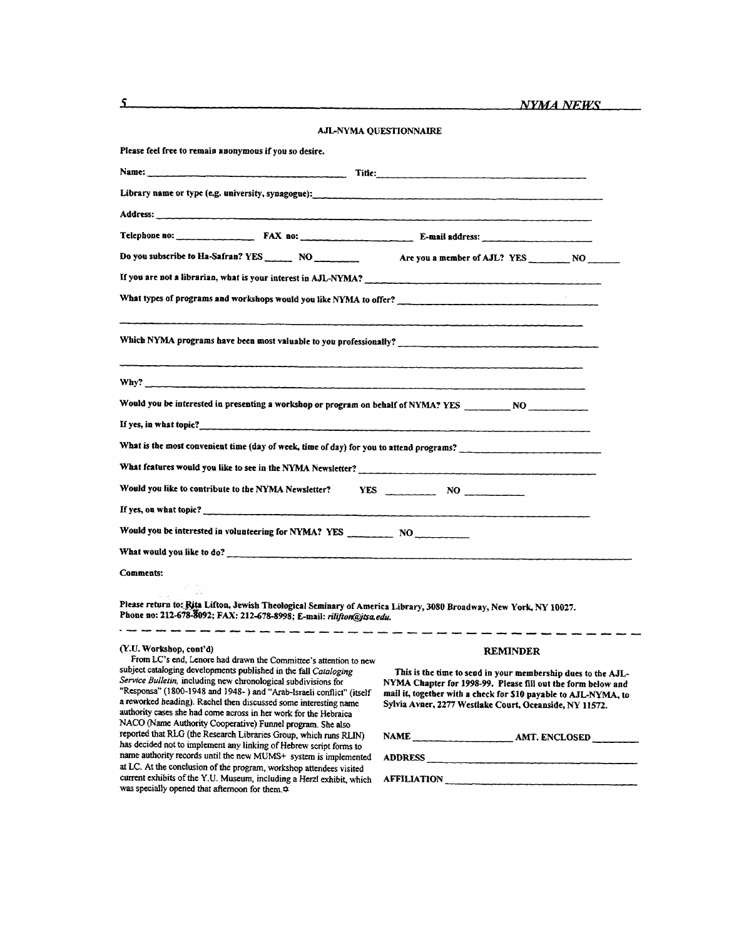| AJL-NYMA QUESTIONNAIRE                                                                                                                                                                                                                                                                                                                                                                                                                                                               |                                                                                                                                                                                                                                                            |  |  |  |
|--------------------------------------------------------------------------------------------------------------------------------------------------------------------------------------------------------------------------------------------------------------------------------------------------------------------------------------------------------------------------------------------------------------------------------------------------------------------------------------|------------------------------------------------------------------------------------------------------------------------------------------------------------------------------------------------------------------------------------------------------------|--|--|--|
| Please feel free to remain anonymous if you so desire.                                                                                                                                                                                                                                                                                                                                                                                                                               |                                                                                                                                                                                                                                                            |  |  |  |
|                                                                                                                                                                                                                                                                                                                                                                                                                                                                                      |                                                                                                                                                                                                                                                            |  |  |  |
|                                                                                                                                                                                                                                                                                                                                                                                                                                                                                      |                                                                                                                                                                                                                                                            |  |  |  |
|                                                                                                                                                                                                                                                                                                                                                                                                                                                                                      |                                                                                                                                                                                                                                                            |  |  |  |
|                                                                                                                                                                                                                                                                                                                                                                                                                                                                                      |                                                                                                                                                                                                                                                            |  |  |  |
| Do you subscribe to Ha-Safran? YES _______ NO ____________ Are you a member of AJL? YES _______ NO                                                                                                                                                                                                                                                                                                                                                                                   |                                                                                                                                                                                                                                                            |  |  |  |
| If you are not a librarian, what is your interest in AJL-NYMA?                                                                                                                                                                                                                                                                                                                                                                                                                       |                                                                                                                                                                                                                                                            |  |  |  |
| What types of programs and workshops would you like NYMA to offer?                                                                                                                                                                                                                                                                                                                                                                                                                   |                                                                                                                                                                                                                                                            |  |  |  |
| Which NYMA programs have been most valuable to you professionally?                                                                                                                                                                                                                                                                                                                                                                                                                   |                                                                                                                                                                                                                                                            |  |  |  |
|                                                                                                                                                                                                                                                                                                                                                                                                                                                                                      |                                                                                                                                                                                                                                                            |  |  |  |
| Would you be interested in presenting a workshop or program on behalf of NYMA? YES _________ NO _____________                                                                                                                                                                                                                                                                                                                                                                        |                                                                                                                                                                                                                                                            |  |  |  |
|                                                                                                                                                                                                                                                                                                                                                                                                                                                                                      |                                                                                                                                                                                                                                                            |  |  |  |
| What is the most convenient time (day of week, time of day) for you to attend programs?                                                                                                                                                                                                                                                                                                                                                                                              |                                                                                                                                                                                                                                                            |  |  |  |
| What features would you like to see in the NYMA Newsletter?                                                                                                                                                                                                                                                                                                                                                                                                                          |                                                                                                                                                                                                                                                            |  |  |  |
| Would you like to contribute to the NYMA Newsletter? YES NO _____________________                                                                                                                                                                                                                                                                                                                                                                                                    |                                                                                                                                                                                                                                                            |  |  |  |
| If yes, on what topic?                                                                                                                                                                                                                                                                                                                                                                                                                                                               |                                                                                                                                                                                                                                                            |  |  |  |
| Would you be interested in volunteering for NYMA? YES ___________________________                                                                                                                                                                                                                                                                                                                                                                                                    |                                                                                                                                                                                                                                                            |  |  |  |
| What would you like to do?                                                                                                                                                                                                                                                                                                                                                                                                                                                           |                                                                                                                                                                                                                                                            |  |  |  |
| <b>Comments:</b>                                                                                                                                                                                                                                                                                                                                                                                                                                                                     |                                                                                                                                                                                                                                                            |  |  |  |
| Please return to: Rita Lifton, Jewish Theological Seminary of America Library, 3080 Broadway, New York, NY 10027.<br>Phone no: 212-678-8092; FAX: 212-678-8998; E-mail: rilifton@jtsa.edu.                                                                                                                                                                                                                                                                                           |                                                                                                                                                                                                                                                            |  |  |  |
| (Y.U. Workshop, cont'd)                                                                                                                                                                                                                                                                                                                                                                                                                                                              | <b>REMINDER</b>                                                                                                                                                                                                                                            |  |  |  |
| From LC's end, Lenore had drawn the Committee's attention to new<br>subject cataloging developments published in the fall Cataloging<br>Service Bulletin, including new chronological subdivisions for<br>"Responsa" (1800-1948 and 1948-) and "Arab-Israeli conflict" (itself<br>a reworked heading). Rachel then discussed some interesting name<br>authority cases she had come across in her work for the Hebraica<br>NACO (Name Authority Cooperative) Funnel program. She also | This is the time to send in your membership dues to the AJL-<br>NYMA Chapter for 1998-99. Please fill out the form below and<br>mail it, together with a check for \$10 payable to AJL-NYMA, to<br>Sylvia Avner, 2277 Westlake Court, Oceanside, NY 11572. |  |  |  |
| reported that RLG (the Research Libraries Group, which runs RLIN)<br>has decided not to implement any linking of Hebrew script forms to                                                                                                                                                                                                                                                                                                                                              |                                                                                                                                                                                                                                                            |  |  |  |
| name authority records until the new MUMS+ system is implemented<br>ADDRESS                                                                                                                                                                                                                                                                                                                                                                                                          |                                                                                                                                                                                                                                                            |  |  |  |
| at LC. At the conclusion of the program, workshop attendees visited<br>current exhibits of the Y.U. Museum, including a Herzl exhibit, which<br>was specially opened that afternoon for them.                                                                                                                                                                                                                                                                                        | AFFILIATION                                                                                                                                                                                                                                                |  |  |  |